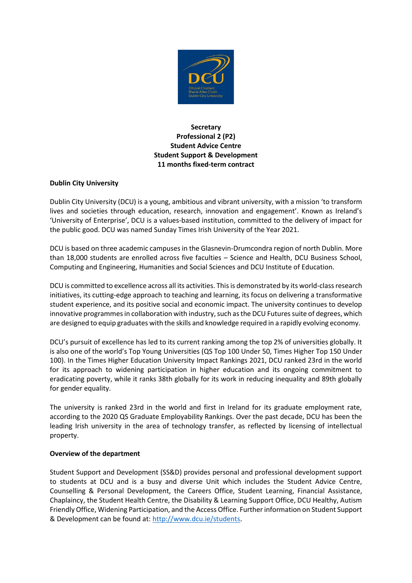

# **Secretary Professional 2 (P2) Student Advice Centre Student Support & Development 11 months fixed-term contract**

## **Dublin City University**

Dublin City University (DCU) is a young, ambitious and vibrant university, with a mission 'to transform lives and societies through education, research, innovation and engagement'. Known as Ireland's 'University of Enterprise', DCU is a values-based institution, committed to the delivery of impact for the public good. DCU was named Sunday Times Irish University of the Year 2021.

DCU is based on three academic campuses in the Glasnevin-Drumcondra region of north Dublin. More than 18,000 students are enrolled across five faculties – Science and Health, DCU Business School, Computing and Engineering, Humanities and Social Sciences and DCU Institute of Education.

DCU is committed to excellence across all its activities. This is demonstrated by its world-class research initiatives, its cutting-edge approach to teaching and learning, its focus on delivering a transformative student experience, and its positive social and economic impact. The university continues to develop innovative programmes in collaboration with industry, such as the DCU Futures suite of degrees, which are designed to equip graduates with the skills and knowledge required in a rapidly evolving economy.

DCU's pursuit of excellence has led to its current ranking among the top 2% of universities globally. It is also one of the world's Top Young Universities (QS Top 100 Under 50, Times Higher Top 150 Under 100). In the Times Higher Education University Impact Rankings 2021, DCU ranked 23rd in the world for its approach to widening participation in higher education and its ongoing commitment to eradicating poverty, while it ranks 38th globally for its work in reducing inequality and 89th globally for gender equality.

The university is ranked 23rd in the world and first in Ireland for its graduate employment rate, according to the 2020 QS Graduate Employability Rankings. Over the past decade, DCU has been the leading Irish university in the area of technology transfer, as reflected by licensing of intellectual property.

### **Overview of the department**

Student Support and Development (SS&D) provides personal and professional development support to students at DCU and is a busy and diverse Unit which includes the Student Advice Centre, Counselling & Personal Development, the Careers Office, Student Learning, Financial Assistance, Chaplaincy, the Student Health Centre, the Disability & Learning Support Office, DCU Healthy, Autism Friendly Office, Widening Participation, and the Access Office. Further information on Student Support & Development can be found at: [http://www.dcu.ie/students.](http://www.dcu.ie/students)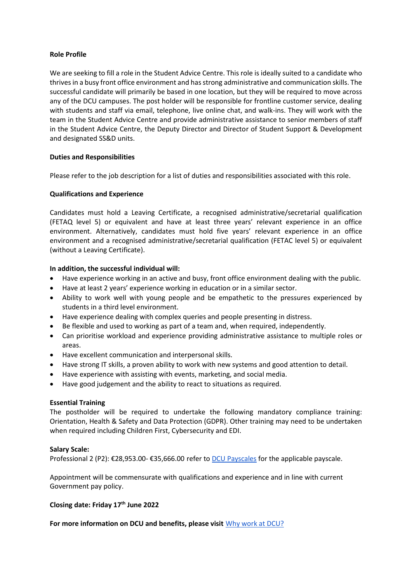### **Role Profile**

We are seeking to fill a role in the Student Advice Centre. This role is ideally suited to a candidate who thrives in a busy front office environment and has strong administrative and communication skills. The successful candidate will primarily be based in one location, but they will be required to move across any of the DCU campuses. The post holder will be responsible for frontline customer service, dealing with students and staff via email, telephone, live online chat, and walk-ins. They will work with the team in the Student Advice Centre and provide administrative assistance to senior members of staff in the Student Advice Centre, the Deputy Director and Director of Student Support & Development and designated SS&D units.

## **Duties and Responsibilities**

Please refer to the job description for a list of duties and responsibilities associated with this role.

## **Qualifications and Experience**

Candidates must hold a Leaving Certificate, a recognised administrative/secretarial qualification (FETAQ level 5) or equivalent and have at least three years' relevant experience in an office environment. Alternatively, candidates must hold five years' relevant experience in an office environment and a recognised administrative/secretarial qualification (FETAC level 5) or equivalent (without a Leaving Certificate).

## **In addition, the successful individual will:**

- Have experience working in an active and busy, front office environment dealing with the public.
- Have at least 2 years' experience working in education or in a similar sector.
- Ability to work well with young people and be empathetic to the pressures experienced by students in a third level environment.
- Have experience dealing with complex queries and people presenting in distress.
- Be flexible and used to working as part of a team and, when required, independently.
- Can prioritise workload and experience providing administrative assistance to multiple roles or areas.
- Have excellent communication and interpersonal skills.
- Have strong IT skills, a proven ability to work with new systems and good attention to detail.
- Have experience with assisting with events, marketing, and social media.
- Have good judgement and the ability to react to situations as required.

### **Essential Training**

The postholder will be required to undertake the following mandatory compliance training: Orientation, Health & Safety and Data Protection (GDPR). Other training may need to be undertaken when required including Children First, Cybersecurity and EDI.

### **Salary Scale:**

Professional 2 (P2): €28,953.00- €35,666.00 refer to [DCU Payscales](https://www.dcu.ie/finance/payroll-pay-scales) for the applicable payscale.

Appointment will be commensurate with qualifications and experience and in line with current Government pay policy.

# **Closing date: Friday 17th June 2022**

**For more information on DCU and benefits, please visit** [Why work at DCU?](https://www.dcu.ie/hr/why-work-dcu)